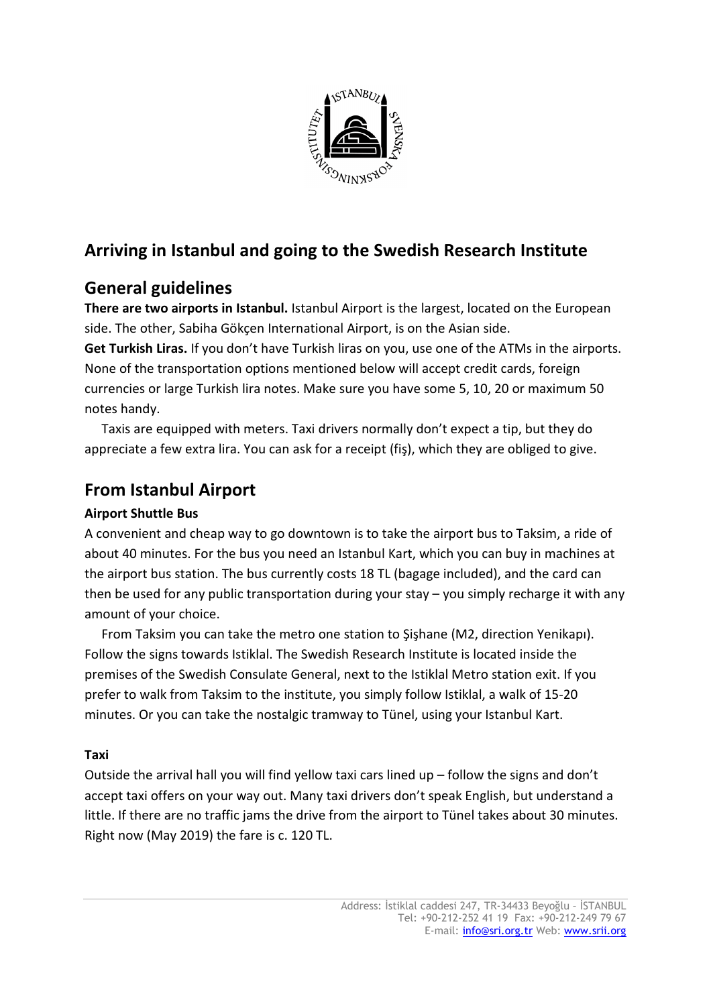

# **Arriving in Istanbul and going to the Swedish Research Institute**

## **General guidelines**

**There are two airports in Istanbul.** Istanbul Airport is the largest, located on the European side. The other, Sabiha Gökçen International Airport, is on the Asian side.

**Get Turkish Liras.** If you don't have Turkish liras on you, use one of the ATMs in the airports. None of the transportation options mentioned below will accept credit cards, foreign currencies or large Turkish lira notes. Make sure you have some 5, 10, 20 or maximum 50 notes handy.

Taxis are equipped with meters. Taxi drivers normally don't expect a tip, but they do appreciate a few extra lira. You can ask for a receipt (fiş), which they are obliged to give.

# **From Istanbul Airport**

### **Airport Shuttle Bus**

A convenient and cheap way to go downtown is to take the airport bus to Taksim, a ride of about 40 minutes. For the bus you need an Istanbul Kart, which you can buy in machines at the airport bus station. The bus currently costs 18 TL (bagage included), and the card can then be used for any public transportation during your stay – you simply recharge it with any amount of your choice.

From Taksim you can take the metro one station to Şişhane (M2, direction Yenikapı). Follow the signs towards Istiklal. The Swedish Research Institute is located inside the premises of the Swedish Consulate General, next to the Istiklal Metro station exit. If you prefer to walk from Taksim to the institute, you simply follow Istiklal, a walk of 15-20 minutes. Or you can take the nostalgic tramway to Tünel, using your Istanbul Kart.

#### **Taxi**

Outside the arrival hall you will find yellow taxi cars lined up – follow the signs and don't accept taxi offers on your way out. Many taxi drivers don't speak English, but understand a little. If there are no traffic jams the drive from the airport to Tünel takes about 30 minutes. Right now (May 2019) the fare is c. 120 TL.